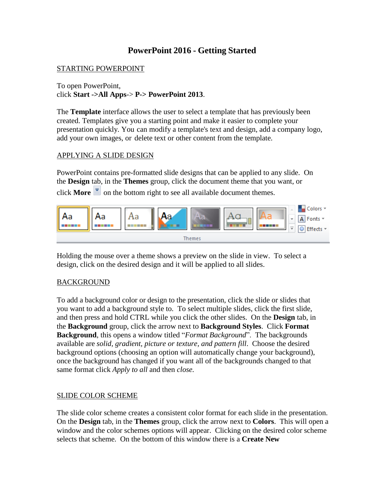# **PowerPoint 2016 - Getting Started**

### STARTING POWERPOINT

To open PowerPoint, click **Start ->All Apps**-> **P-> PowerPoint 2013**.

The **Template** interface allows the user to select a template that has previously been created. Templates give you a starting point and make it easier to complete your presentation quickly. You can modify a template's text and design, add a company logo, add your own images, or delete text or other content from the template.

#### APPLYING A SLIDE DESIGN

PowerPoint contains pre-formatted slide designs that can be applied to any slide. On the **Design** tab, in the **Themes** group, click the document theme that you want, or click **More**  $\overline{\phantom{a}}$  on the bottom right to see all available document themes.



Holding the mouse over a theme shows a preview on the slide in view. To select a design, click on the desired design and it will be applied to all slides.

#### **BACKGROUND**

To add a background color or design to the presentation, click the slide or slides that you want to add a background style to. To select multiple slides, click the first slide, and then press and hold CTRL while you click the other slides. On the **Design** tab, in the **Background** group, click the arrow next to **Background Styles**. Click **Format Background**, this opens a window titled "*Format Background*". The backgrounds available are *solid, gradient, picture or texture, and pattern fill*. Choose the desired background options (choosing an option will automatically change your background), once the background has changed if you want all of the backgrounds changed to that same format click *Apply to all* and then *close.*

#### SLIDE COLOR SCHEME

The slide color scheme creates a consistent color format for each slide in the presentation. On the **Design** tab, in the **Themes** group, click the arrow next to **Colors**. This will open a window and the color schemes options will appear. Clicking on the desired color scheme selects that scheme. On the bottom of this window there is a **Create New**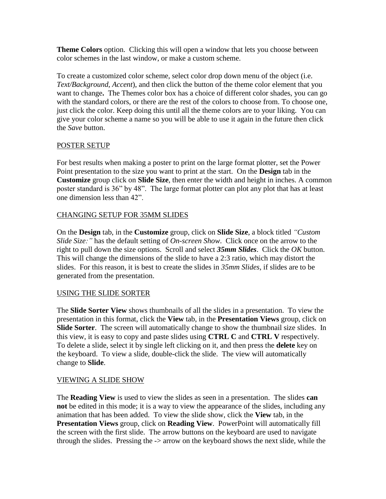**Theme Colors** option. Clicking this will open a window that lets you choose between color schemes in the last window, or make a custom scheme.

To create a customized color scheme, select color drop down menu of the object (i.e. *Text/Background*, *Accent*), and then click the button of the theme color element that you want to change**.** The Themes color box has a choice of different color shades, you can go with the standard colors, or there are the rest of the colors to choose from. To choose one, just click the color. Keep doing this until all the theme colors are to your liking. You can give your color scheme a name so you will be able to use it again in the future then click the *Save* button.

## POSTER SETUP

For best results when making a poster to print on the large format plotter, set the Power Point presentation to the size you want to print at the start. On the **Design** tab in the **Customize** group click on **Slide Size**, then enter the width and height in inches. A common poster standard is 36" by 48". The large format plotter can plot any plot that has at least one dimension less than 42".

## CHANGING SETUP FOR 35MM SLIDES

On the **Design** tab, in the **Customize** group, click on **Slide Size**, a block titled *"Custom Slide Size:"* has the default setting of *On-screen Show*. Click once on the arrow to the right to pull down the size options. Scroll and select *35mm Slides*. Click the *OK* button. This will change the dimensions of the slide to have a 2:3 ratio, which may distort the slides. For this reason, it is best to create the slides in *35mm Slides*, if slides are to be generated from the presentation.

## USING THE SLIDE SORTER

The **Slide Sorter View** shows thumbnails of all the slides in a presentation. To view the presentation in this format, click the **View** tab, in the **Presentation Views** group, click on **Slide Sorter**. The screen will automatically change to show the thumbnail size slides. In this view, it is easy to copy and paste slides using **CTRL C** and **CTRL V** respectively. To delete a slide, select it by single left clicking on it, and then press the **delete** key on the keyboard. To view a slide, double-click the slide. The view will automatically change to **Slide**.

## VIEWING A SLIDE SHOW

The **Reading View** is used to view the slides as seen in a presentation. The slides **can not** be edited in this mode; it is a way to view the appearance of the slides, including any animation that has been added. To view the slide show, click the **View** tab, in the **Presentation Views** group, click on **Reading View**. PowerPoint will automatically fill the screen with the first slide. The arrow buttons on the keyboard are used to navigate through the slides. Pressing the -> arrow on the keyboard shows the next slide, while the